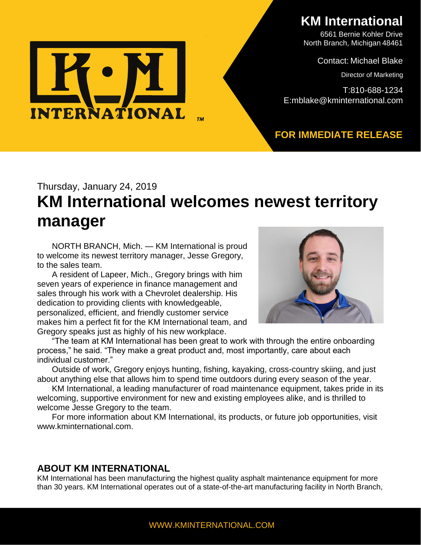

**KM International**

6561 Bernie Kohler Drive North Branch, Michigan 48461

Contact: Michael Blake

Director of Marketing

T:810-688-1234 E:mblake@kminternational.com

#### **FOR IMMEDIATE RELEASE**

# Thursday, January 24, 2019 **KM International welcomes newest territory manager**

NORTH BRANCH, Mich. — KM International is proud to welcome its newest territory manager, Jesse Gregory, to the sales team.

A resident of Lapeer, Mich., Gregory brings with him seven years of experience in finance management and sales through his work with a Chevrolet dealership. His dedication to providing clients with knowledgeable, personalized, efficient, and friendly customer service makes him a perfect fit for the KM International team, and Gregory speaks just as highly of his new workplace.



"The team at KM International has been great to work with through the entire onboarding process," he said. "They make a great product and, most importantly, care about each individual customer."

Outside of work, Gregory enjoys hunting, fishing, kayaking, cross-country skiing, and just about anything else that allows him to spend time outdoors during every season of the year.

KM International, a leading manufacturer of road maintenance equipment, takes pride in its welcoming, supportive environment for new and existing employees alike, and is thrilled to welcome Jesse Gregory to the team.

For more information about KM International, its products, or future job opportunities, visit www.kminternational.com.

#### **ABOUT KM INTERNATIONAL**

KM International has been manufacturing the highest quality asphalt maintenance equipment for more than 30 years. KM International operates out of a state-of-the-art manufacturing facility in North Branch,